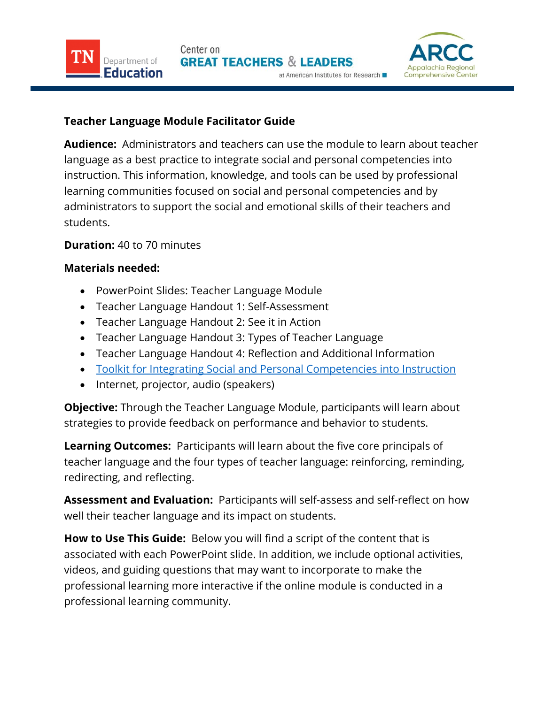

## **Teacher Language Module Facilitator Guide**

**Audience:** Administrators and teachers can use the module to learn about teacher language as a best practice to integrate social and personal competencies into instruction. This information, knowledge, and tools can be used by professional learning communities focused on social and personal competencies and by administrators to support the social and emotional skills of their teachers and students.

## **Duration:** 40 to 70 minutes

Department of

ducation

## **Materials needed:**

- PowerPoint Slides: Teacher Language Module
- Teacher Language Handout 1: Self-Assessment
- Teacher Language Handout 2: See it in Action
- Teacher Language Handout 3: Types of Teacher Language
- Teacher Language Handout 4: Reflection and Additional Information
- [Toolkit for Integrating Social and Personal Competencies](https://www.tn.gov/content/dam/tn/education/safety/safe_sch/safe_sch_se_toolkit.pdf) into Instruction
- Internet, projector, audio (speakers)

**Objective:** Through the Teacher Language Module, participants will learn about strategies to provide feedback on performance and behavior to students.

**Learning Outcomes:** Participants will learn about the five core principals of teacher language and the four types of teacher language: reinforcing, reminding, redirecting, and reflecting.

**Assessment and Evaluation:** Participants will self-assess and self-reflect on how well their teacher language and its impact on students.

**How to Use This Guide:** Below you will find a script of the content that is associated with each PowerPoint slide. In addition, we include optional activities, videos, and guiding questions that may want to incorporate to make the professional learning more interactive if the online module is conducted in a professional learning community.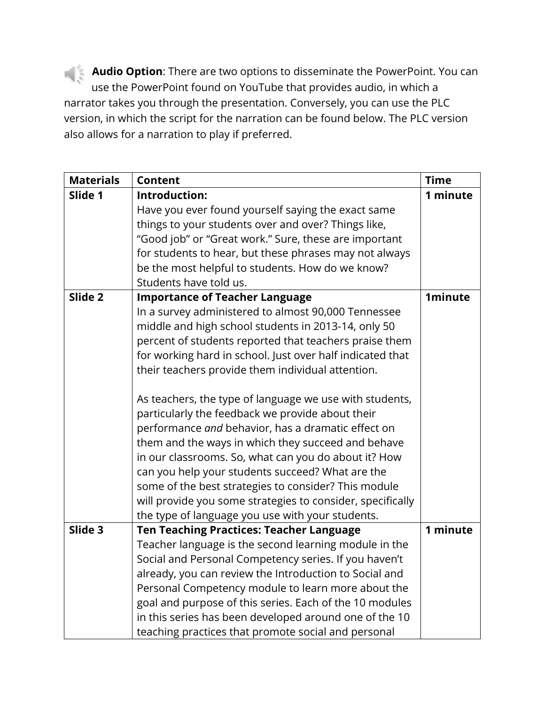**Audio Option**: There are two options to disseminate the PowerPoint. You can use the PowerPoint found on YouTube that provides audio, in which a narrator takes you through the presentation. Conversely, you can use the PLC version, in which the script for the narration can be found below. The PLC version also allows for a narration to play if preferred.

| <b>Materials</b> | <b>Content</b>                                                                                                 | <b>Time</b>    |
|------------------|----------------------------------------------------------------------------------------------------------------|----------------|
| Slide 1          | Introduction:                                                                                                  | 1 minute       |
|                  | Have you ever found yourself saying the exact same                                                             |                |
|                  | things to your students over and over? Things like,                                                            |                |
|                  | "Good job" or "Great work." Sure, these are important                                                          |                |
|                  | for students to hear, but these phrases may not always                                                         |                |
|                  | be the most helpful to students. How do we know?                                                               |                |
|                  | Students have told us.                                                                                         |                |
| Slide 2          | <b>Importance of Teacher Language</b>                                                                          | <b>1minute</b> |
|                  | In a survey administered to almost 90,000 Tennessee                                                            |                |
|                  | middle and high school students in 2013-14, only 50                                                            |                |
|                  | percent of students reported that teachers praise them                                                         |                |
|                  | for working hard in school. Just over half indicated that                                                      |                |
|                  | their teachers provide them individual attention.                                                              |                |
|                  |                                                                                                                |                |
|                  | As teachers, the type of language we use with students,                                                        |                |
|                  | particularly the feedback we provide about their                                                               |                |
|                  | performance and behavior, has a dramatic effect on                                                             |                |
|                  | them and the ways in which they succeed and behave                                                             |                |
|                  | in our classrooms. So, what can you do about it? How                                                           |                |
|                  | can you help your students succeed? What are the                                                               |                |
|                  | some of the best strategies to consider? This module                                                           |                |
|                  | will provide you some strategies to consider, specifically                                                     |                |
| Slide 3          | the type of language you use with your students.                                                               | 1 minute       |
|                  | <b>Ten Teaching Practices: Teacher Language</b>                                                                |                |
|                  | Teacher language is the second learning module in the<br>Social and Personal Competency series. If you haven't |                |
|                  |                                                                                                                |                |
|                  | already, you can review the Introduction to Social and<br>Personal Competency module to learn more about the   |                |
|                  | goal and purpose of this series. Each of the 10 modules                                                        |                |
|                  | in this series has been developed around one of the 10                                                         |                |
|                  | teaching practices that promote social and personal                                                            |                |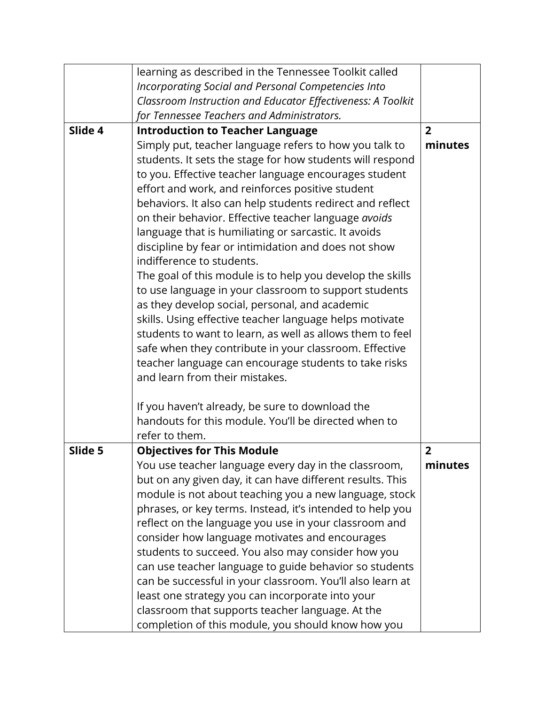|         | learning as described in the Tennessee Toolkit called       |                |
|---------|-------------------------------------------------------------|----------------|
|         | Incorporating Social and Personal Competencies Into         |                |
|         | Classroom Instruction and Educator Effectiveness: A Toolkit |                |
|         | for Tennessee Teachers and Administrators.                  |                |
| Slide 4 | <b>Introduction to Teacher Language</b>                     | $\overline{2}$ |
|         | Simply put, teacher language refers to how you talk to      | minutes        |
|         | students. It sets the stage for how students will respond   |                |
|         | to you. Effective teacher language encourages student       |                |
|         | effort and work, and reinforces positive student            |                |
|         | behaviors. It also can help students redirect and reflect   |                |
|         | on their behavior. Effective teacher language avoids        |                |
|         | language that is humiliating or sarcastic. It avoids        |                |
|         | discipline by fear or intimidation and does not show        |                |
|         | indifference to students.                                   |                |
|         | The goal of this module is to help you develop the skills   |                |
|         | to use language in your classroom to support students       |                |
|         | as they develop social, personal, and academic              |                |
|         | skills. Using effective teacher language helps motivate     |                |
|         | students to want to learn, as well as allows them to feel   |                |
|         | safe when they contribute in your classroom. Effective      |                |
|         | teacher language can encourage students to take risks       |                |
|         | and learn from their mistakes.                              |                |
|         | If you haven't already, be sure to download the             |                |
|         | handouts for this module. You'll be directed when to        |                |
|         | refer to them.                                              |                |
| Slide 5 | <b>Objectives for This Module</b>                           | $\overline{2}$ |
|         | You use teacher language every day in the classroom,        | minutes        |
|         | but on any given day, it can have different results. This   |                |
|         | module is not about teaching you a new language, stock      |                |
|         | phrases, or key terms. Instead, it's intended to help you   |                |
|         | reflect on the language you use in your classroom and       |                |
|         | consider how language motivates and encourages              |                |
|         | students to succeed. You also may consider how you          |                |
|         | can use teacher language to guide behavior so students      |                |
|         | can be successful in your classroom. You'll also learn at   |                |
|         | least one strategy you can incorporate into your            |                |
|         | classroom that supports teacher language. At the            |                |
|         | completion of this module, you should know how you          |                |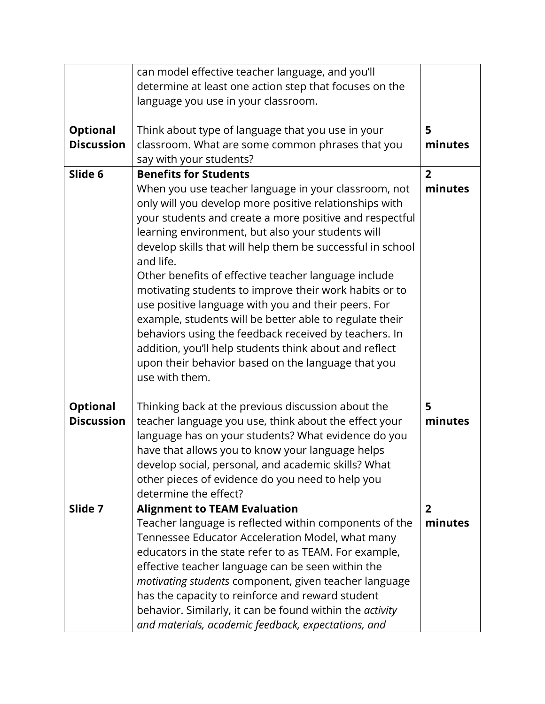|                                      | can model effective teacher language, and you'll                            |                |
|--------------------------------------|-----------------------------------------------------------------------------|----------------|
|                                      | determine at least one action step that focuses on the                      |                |
|                                      | language you use in your classroom.                                         |                |
|                                      |                                                                             | 5              |
| <b>Optional</b><br><b>Discussion</b> | Think about type of language that you use in your                           | minutes        |
|                                      | classroom. What are some common phrases that you<br>say with your students? |                |
| Slide 6                              | <b>Benefits for Students</b>                                                | $\overline{2}$ |
|                                      | When you use teacher language in your classroom, not                        | minutes        |
|                                      | only will you develop more positive relationships with                      |                |
|                                      | your students and create a more positive and respectful                     |                |
|                                      | learning environment, but also your students will                           |                |
|                                      | develop skills that will help them be successful in school                  |                |
|                                      | and life.                                                                   |                |
|                                      | Other benefits of effective teacher language include                        |                |
|                                      | motivating students to improve their work habits or to                      |                |
|                                      | use positive language with you and their peers. For                         |                |
|                                      | example, students will be better able to regulate their                     |                |
|                                      | behaviors using the feedback received by teachers. In                       |                |
|                                      | addition, you'll help students think about and reflect                      |                |
|                                      | upon their behavior based on the language that you<br>use with them.        |                |
|                                      |                                                                             |                |
| <b>Optional</b>                      | Thinking back at the previous discussion about the                          | 5              |
| <b>Discussion</b>                    | teacher language you use, think about the effect your                       | minutes        |
|                                      | language has on your students? What evidence do you                         |                |
|                                      | have that allows you to know your language helps                            |                |
|                                      | develop social, personal, and academic skills? What                         |                |
|                                      | other pieces of evidence do you need to help you                            |                |
|                                      | determine the effect?                                                       |                |
| Slide 7                              | <b>Alignment to TEAM Evaluation</b>                                         | $\overline{2}$ |
|                                      | Teacher language is reflected within components of the                      | minutes        |
|                                      | Tennessee Educator Acceleration Model, what many                            |                |
|                                      | educators in the state refer to as TEAM. For example,                       |                |
|                                      | effective teacher language can be seen within the                           |                |
|                                      | motivating students component, given teacher language                       |                |
|                                      | has the capacity to reinforce and reward student                            |                |
|                                      | behavior. Similarly, it can be found within the activity                    |                |
|                                      | and materials, academic feedback, expectations, and                         |                |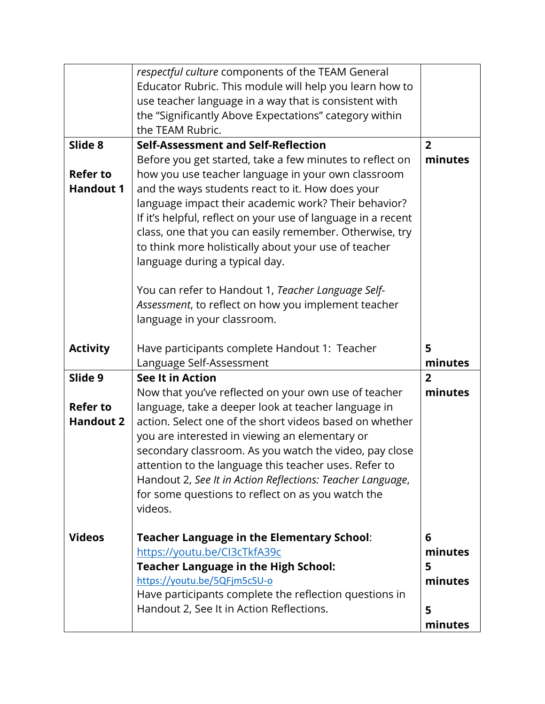|                  | respectful culture components of the TEAM General                           |                |
|------------------|-----------------------------------------------------------------------------|----------------|
|                  | Educator Rubric. This module will help you learn how to                     |                |
|                  | use teacher language in a way that is consistent with                       |                |
|                  | the "Significantly Above Expectations" category within                      |                |
|                  | the TEAM Rubric.                                                            |                |
| Slide 8          | <b>Self-Assessment and Self-Reflection</b>                                  | $\overline{2}$ |
|                  | Before you get started, take a few minutes to reflect on                    | minutes        |
| <b>Refer to</b>  | how you use teacher language in your own classroom                          |                |
| <b>Handout 1</b> | and the ways students react to it. How does your                            |                |
|                  | language impact their academic work? Their behavior?                        |                |
|                  | If it's helpful, reflect on your use of language in a recent                |                |
|                  | class, one that you can easily remember. Otherwise, try                     |                |
|                  | to think more holistically about your use of teacher                        |                |
|                  | language during a typical day.                                              |                |
|                  |                                                                             |                |
|                  | You can refer to Handout 1, Teacher Language Self-                          |                |
|                  | Assessment, to reflect on how you implement teacher                         |                |
|                  | language in your classroom.                                                 |                |
|                  |                                                                             |                |
| <b>Activity</b>  | Have participants complete Handout 1: Teacher                               | 5              |
|                  | Language Self-Assessment                                                    | minutes        |
| Slide 9          | <b>See It in Action</b>                                                     | $\overline{2}$ |
|                  | Now that you've reflected on your own use of teacher                        | minutes        |
| <b>Refer to</b>  | language, take a deeper look at teacher language in                         |                |
| <b>Handout 2</b> | action. Select one of the short videos based on whether                     |                |
|                  |                                                                             |                |
|                  |                                                                             |                |
|                  | you are interested in viewing an elementary or                              |                |
|                  | secondary classroom. As you watch the video, pay close                      |                |
|                  | attention to the language this teacher uses. Refer to                       |                |
|                  | Handout 2, See It in Action Reflections: Teacher Language,                  |                |
|                  | for some questions to reflect on as you watch the<br>videos.                |                |
|                  |                                                                             |                |
| <b>Videos</b>    |                                                                             | 6              |
|                  | <b>Teacher Language in the Elementary School:</b>                           | minutes        |
|                  | https://youtu.be/CI3cTkfA39c                                                | 5              |
|                  | <b>Teacher Language in the High School:</b><br>https://youtu.be/5QFjm5cSU-o | minutes        |
|                  | Have participants complete the reflection questions in                      |                |
|                  | Handout 2, See It in Action Reflections.                                    | 5              |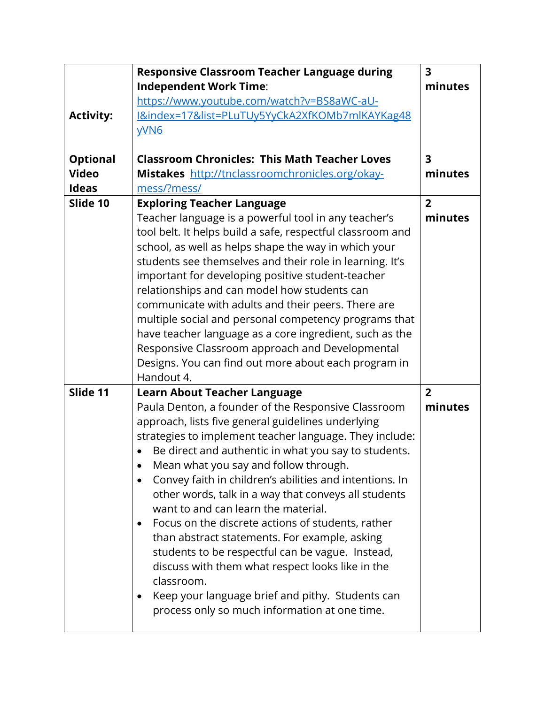|                  | <b>Responsive Classroom Teacher Language during</b>            | $\overline{\mathbf{3}}$ |
|------------------|----------------------------------------------------------------|-------------------------|
|                  | <b>Independent Work Time:</b>                                  | minutes                 |
|                  | https://www.youtube.com/watch?v=BS8aWC-aU-                     |                         |
| <b>Activity:</b> | I&index=17&list=PLuTUy5YyCkA2XfKOMb7mlKAYKag48                 |                         |
|                  | <b>yVN6</b>                                                    |                         |
| <b>Optional</b>  | <b>Classroom Chronicles: This Math Teacher Loves</b>           | 3                       |
| <b>Video</b>     | Mistakes http://tnclassroomchronicles.org/okay-                | minutes                 |
| <b>Ideas</b>     | mess/?mess/                                                    |                         |
| Slide 10         | <b>Exploring Teacher Language</b>                              | $\overline{2}$          |
|                  | Teacher language is a powerful tool in any teacher's           | minutes                 |
|                  | tool belt. It helps build a safe, respectful classroom and     |                         |
|                  | school, as well as helps shape the way in which your           |                         |
|                  | students see themselves and their role in learning. It's       |                         |
|                  | important for developing positive student-teacher              |                         |
|                  | relationships and can model how students can                   |                         |
|                  | communicate with adults and their peers. There are             |                         |
|                  | multiple social and personal competency programs that          |                         |
|                  | have teacher language as a core ingredient, such as the        |                         |
|                  | Responsive Classroom approach and Developmental                |                         |
|                  | Designs. You can find out more about each program in           |                         |
|                  | Handout 4.                                                     |                         |
| Slide 11         | <b>Learn About Teacher Language</b>                            | $\overline{2}$          |
|                  | Paula Denton, a founder of the Responsive Classroom            | minutes                 |
|                  | approach, lists five general guidelines underlying             |                         |
|                  | strategies to implement teacher language. They include:        |                         |
|                  | Be direct and authentic in what you say to students.           |                         |
|                  | Mean what you say and follow through.                          |                         |
|                  | Convey faith in children's abilities and intentions. In        |                         |
|                  | other words, talk in a way that conveys all students           |                         |
|                  | want to and can learn the material.                            |                         |
|                  | Focus on the discrete actions of students, rather<br>$\bullet$ |                         |
|                  | than abstract statements. For example, asking                  |                         |
|                  | students to be respectful can be vague. Instead,               |                         |
|                  | discuss with them what respect looks like in the               |                         |
|                  | classroom.                                                     |                         |
|                  | Keep your language brief and pithy. Students can               |                         |
|                  | process only so much information at one time.                  |                         |
|                  |                                                                |                         |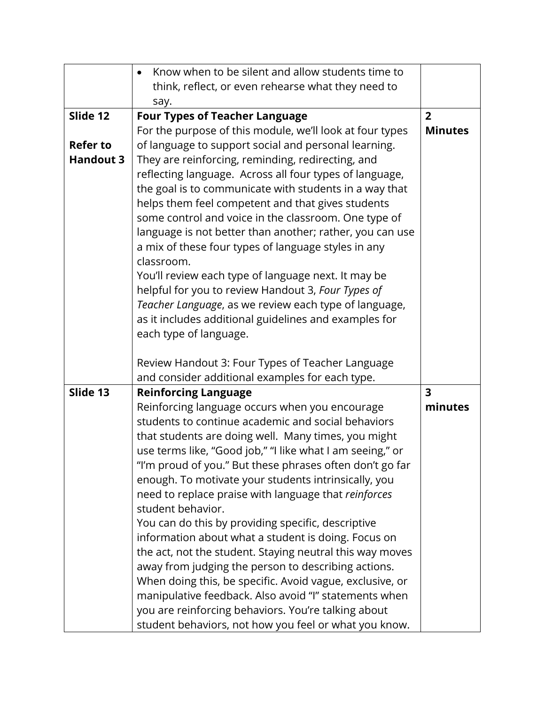|                  | Know when to be silent and allow students time to         |                         |
|------------------|-----------------------------------------------------------|-------------------------|
|                  | think, reflect, or even rehearse what they need to        |                         |
|                  | say.                                                      |                         |
| Slide 12         | <b>Four Types of Teacher Language</b>                     | $\overline{2}$          |
|                  | For the purpose of this module, we'll look at four types  | <b>Minutes</b>          |
| <b>Refer to</b>  | of language to support social and personal learning.      |                         |
| <b>Handout 3</b> | They are reinforcing, reminding, redirecting, and         |                         |
|                  | reflecting language. Across all four types of language,   |                         |
|                  | the goal is to communicate with students in a way that    |                         |
|                  | helps them feel competent and that gives students         |                         |
|                  | some control and voice in the classroom. One type of      |                         |
|                  | language is not better than another; rather, you can use  |                         |
|                  | a mix of these four types of language styles in any       |                         |
|                  | classroom.                                                |                         |
|                  | You'll review each type of language next. It may be       |                         |
|                  | helpful for you to review Handout 3, Four Types of        |                         |
|                  | Teacher Language, as we review each type of language,     |                         |
|                  | as it includes additional guidelines and examples for     |                         |
|                  | each type of language.                                    |                         |
|                  |                                                           |                         |
|                  | Review Handout 3: Four Types of Teacher Language          |                         |
|                  | and consider additional examples for each type.           |                         |
| Slide 13         | <b>Reinforcing Language</b>                               | $\overline{\mathbf{3}}$ |
|                  | Reinforcing language occurs when you encourage            | minutes                 |
|                  | students to continue academic and social behaviors        |                         |
|                  | that students are doing well. Many times, you might       |                         |
|                  | use terms like, "Good job," "I like what I am seeing," or |                         |
|                  | "I'm proud of you." But these phrases often don't go far  |                         |
|                  | enough. To motivate your students intrinsically, you      |                         |
|                  | need to replace praise with language that reinforces      |                         |
|                  | student behavior.                                         |                         |
|                  | You can do this by providing specific, descriptive        |                         |
|                  | information about what a student is doing. Focus on       |                         |
|                  | the act, not the student. Staying neutral this way moves  |                         |
|                  | away from judging the person to describing actions.       |                         |
|                  | When doing this, be specific. Avoid vague, exclusive, or  |                         |
|                  | manipulative feedback. Also avoid "I" statements when     |                         |
|                  | you are reinforcing behaviors. You're talking about       |                         |
|                  | student behaviors, not how you feel or what you know.     |                         |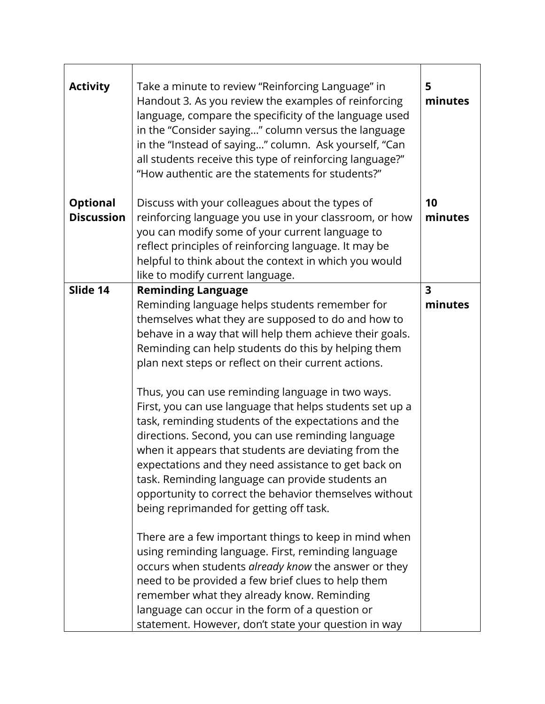| <b>Activity</b>   | Take a minute to review "Reinforcing Language" in<br>Handout 3. As you review the examples of reinforcing<br>language, compare the specificity of the language used<br>in the "Consider saying" column versus the language<br>in the "Instead of saying" column. Ask yourself, "Can<br>all students receive this type of reinforcing language?"<br>"How authentic are the statements for students?"                                                                                                  | 5<br>minutes            |
|-------------------|------------------------------------------------------------------------------------------------------------------------------------------------------------------------------------------------------------------------------------------------------------------------------------------------------------------------------------------------------------------------------------------------------------------------------------------------------------------------------------------------------|-------------------------|
| <b>Optional</b>   | Discuss with your colleagues about the types of                                                                                                                                                                                                                                                                                                                                                                                                                                                      | 10                      |
| <b>Discussion</b> | reinforcing language you use in your classroom, or how<br>you can modify some of your current language to<br>reflect principles of reinforcing language. It may be<br>helpful to think about the context in which you would<br>like to modify current language.                                                                                                                                                                                                                                      | minutes                 |
| Slide 14          | <b>Reminding Language</b>                                                                                                                                                                                                                                                                                                                                                                                                                                                                            | $\overline{\mathbf{3}}$ |
|                   | Reminding language helps students remember for<br>themselves what they are supposed to do and how to<br>behave in a way that will help them achieve their goals.<br>Reminding can help students do this by helping them<br>plan next steps or reflect on their current actions.                                                                                                                                                                                                                      | minutes                 |
|                   | Thus, you can use reminding language in two ways.<br>First, you can use language that helps students set up a<br>task, reminding students of the expectations and the<br>directions. Second, you can use reminding language<br>when it appears that students are deviating from the<br>expectations and they need assistance to get back on<br>task. Reminding language can provide students an<br>opportunity to correct the behavior themselves without<br>being reprimanded for getting off task. |                         |
|                   | There are a few important things to keep in mind when<br>using reminding language. First, reminding language<br>occurs when students already know the answer or they<br>need to be provided a few brief clues to help them<br>remember what they already know. Reminding<br>language can occur in the form of a question or<br>statement. However, don't state your question in way                                                                                                                  |                         |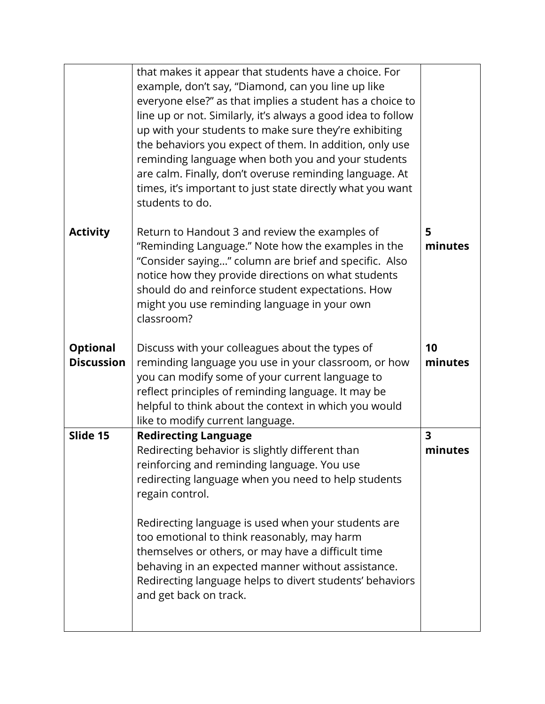|                                      | that makes it appear that students have a choice. For<br>example, don't say, "Diamond, can you line up like<br>everyone else?" as that implies a student has a choice to<br>line up or not. Similarly, it's always a good idea to follow<br>up with your students to make sure they're exhibiting<br>the behaviors you expect of them. In addition, only use<br>reminding language when both you and your students<br>are calm. Finally, don't overuse reminding language. At<br>times, it's important to just state directly what you want<br>students to do. |                                    |
|--------------------------------------|----------------------------------------------------------------------------------------------------------------------------------------------------------------------------------------------------------------------------------------------------------------------------------------------------------------------------------------------------------------------------------------------------------------------------------------------------------------------------------------------------------------------------------------------------------------|------------------------------------|
| <b>Activity</b>                      | Return to Handout 3 and review the examples of<br>"Reminding Language." Note how the examples in the<br>"Consider saying" column are brief and specific. Also<br>notice how they provide directions on what students<br>should do and reinforce student expectations. How<br>might you use reminding language in your own<br>classroom?                                                                                                                                                                                                                        | 5<br>minutes                       |
| <b>Optional</b><br><b>Discussion</b> | Discuss with your colleagues about the types of<br>reminding language you use in your classroom, or how<br>you can modify some of your current language to<br>reflect principles of reminding language. It may be<br>helpful to think about the context in which you would<br>like to modify current language.                                                                                                                                                                                                                                                 | 10<br>minutes                      |
| Slide 15                             | <b>Redirecting Language</b><br>Redirecting behavior is slightly different than<br>reinforcing and reminding language. You use<br>redirecting language when you need to help students<br>regain control.<br>Redirecting language is used when your students are<br>too emotional to think reasonably, may harm<br>themselves or others, or may have a difficult time<br>behaving in an expected manner without assistance.<br>Redirecting language helps to divert students' behaviors<br>and get back on track.                                                | $\overline{\mathbf{3}}$<br>minutes |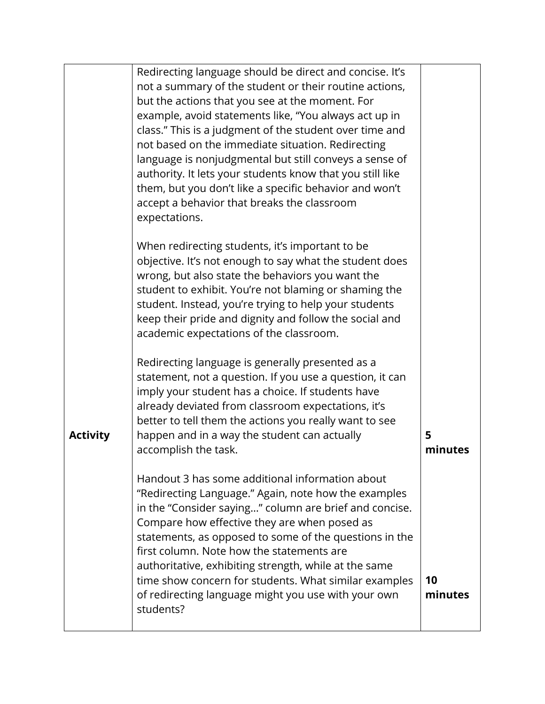|                 | Redirecting language should be direct and concise. It's<br>not a summary of the student or their routine actions,<br>but the actions that you see at the moment. For<br>example, avoid statements like, "You always act up in<br>class." This is a judgment of the student over time and<br>not based on the immediate situation. Redirecting<br>language is nonjudgmental but still conveys a sense of<br>authority. It lets your students know that you still like<br>them, but you don't like a specific behavior and won't<br>accept a behavior that breaks the classroom<br>expectations. |               |
|-----------------|------------------------------------------------------------------------------------------------------------------------------------------------------------------------------------------------------------------------------------------------------------------------------------------------------------------------------------------------------------------------------------------------------------------------------------------------------------------------------------------------------------------------------------------------------------------------------------------------|---------------|
|                 | When redirecting students, it's important to be<br>objective. It's not enough to say what the student does<br>wrong, but also state the behaviors you want the<br>student to exhibit. You're not blaming or shaming the<br>student. Instead, you're trying to help your students<br>keep their pride and dignity and follow the social and<br>academic expectations of the classroom.                                                                                                                                                                                                          |               |
| <b>Activity</b> | Redirecting language is generally presented as a<br>statement, not a question. If you use a question, it can<br>imply your student has a choice. If students have<br>already deviated from classroom expectations, it's<br>better to tell them the actions you really want to see<br>happen and in a way the student can actually<br>accomplish the task.                                                                                                                                                                                                                                      | 5<br>minutes  |
|                 | Handout 3 has some additional information about<br>"Redirecting Language." Again, note how the examples<br>in the "Consider saying" column are brief and concise.<br>Compare how effective they are when posed as<br>statements, as opposed to some of the questions in the<br>first column. Note how the statements are<br>authoritative, exhibiting strength, while at the same<br>time show concern for students. What similar examples<br>of redirecting language might you use with your own<br>students?                                                                                 | 10<br>minutes |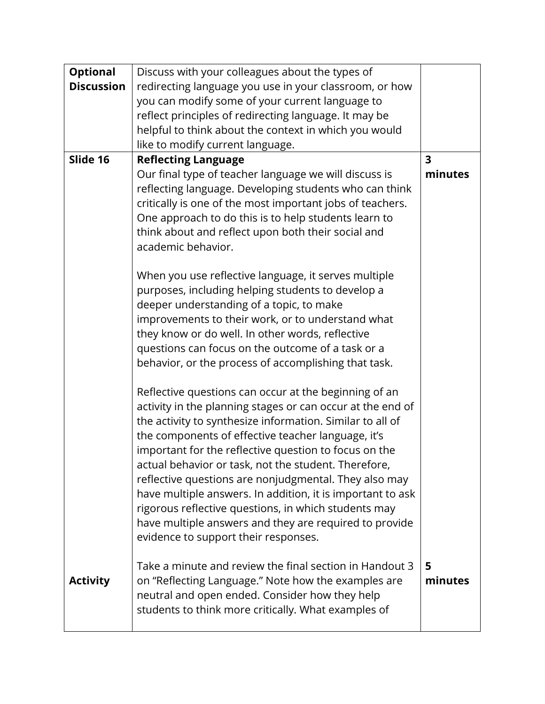| <b>Optional</b>   | Discuss with your colleagues about the types of                                                               |                         |
|-------------------|---------------------------------------------------------------------------------------------------------------|-------------------------|
| <b>Discussion</b> | redirecting language you use in your classroom, or how                                                        |                         |
|                   | you can modify some of your current language to                                                               |                         |
|                   | reflect principles of redirecting language. It may be                                                         |                         |
|                   | helpful to think about the context in which you would                                                         |                         |
|                   | like to modify current language.                                                                              |                         |
| Slide 16          | <b>Reflecting Language</b>                                                                                    | $\overline{\mathbf{3}}$ |
|                   | Our final type of teacher language we will discuss is                                                         | minutes                 |
|                   | reflecting language. Developing students who can think                                                        |                         |
|                   | critically is one of the most important jobs of teachers.                                                     |                         |
|                   | One approach to do this is to help students learn to                                                          |                         |
|                   | think about and reflect upon both their social and                                                            |                         |
|                   | academic behavior.                                                                                            |                         |
|                   | When you use reflective language, it serves multiple                                                          |                         |
|                   | purposes, including helping students to develop a                                                             |                         |
|                   | deeper understanding of a topic, to make                                                                      |                         |
|                   | improvements to their work, or to understand what                                                             |                         |
|                   | they know or do well. In other words, reflective                                                              |                         |
|                   | questions can focus on the outcome of a task or a                                                             |                         |
|                   | behavior, or the process of accomplishing that task.                                                          |                         |
|                   |                                                                                                               |                         |
|                   | Reflective questions can occur at the beginning of an                                                         |                         |
|                   | activity in the planning stages or can occur at the end of                                                    |                         |
|                   | the activity to synthesize information. Similar to all of                                                     |                         |
|                   | the components of effective teacher language, it's                                                            |                         |
|                   | important for the reflective question to focus on the<br>actual behavior or task, not the student. Therefore, |                         |
|                   | reflective questions are nonjudgmental. They also may                                                         |                         |
|                   | have multiple answers. In addition, it is important to ask                                                    |                         |
|                   | rigorous reflective questions, in which students may                                                          |                         |
|                   | have multiple answers and they are required to provide                                                        |                         |
|                   | evidence to support their responses.                                                                          |                         |
|                   |                                                                                                               |                         |
|                   | Take a minute and review the final section in Handout 3                                                       | 5                       |
| <b>Activity</b>   | on "Reflecting Language." Note how the examples are                                                           | minutes                 |
|                   | neutral and open ended. Consider how they help                                                                |                         |
|                   | students to think more critically. What examples of                                                           |                         |
|                   |                                                                                                               |                         |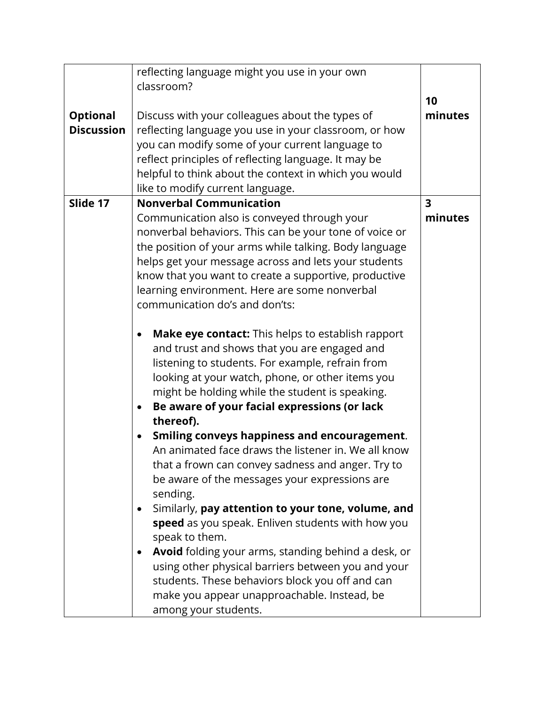| <b>Optional</b><br><b>Discussion</b> | reflecting language might you use in your own<br>classroom?<br>Discuss with your colleagues about the types of<br>reflecting language you use in your classroom, or how<br>you can modify some of your current language to<br>reflect principles of reflecting language. It may be<br>helpful to think about the context in which you would<br>like to modify current language.                                                                                                                                                                                                                                                                                                                                                                                                                                                                                                                                                                                                                                                                                                                                                                                                                                                                                                                                                                     | 10<br>minutes                      |
|--------------------------------------|-----------------------------------------------------------------------------------------------------------------------------------------------------------------------------------------------------------------------------------------------------------------------------------------------------------------------------------------------------------------------------------------------------------------------------------------------------------------------------------------------------------------------------------------------------------------------------------------------------------------------------------------------------------------------------------------------------------------------------------------------------------------------------------------------------------------------------------------------------------------------------------------------------------------------------------------------------------------------------------------------------------------------------------------------------------------------------------------------------------------------------------------------------------------------------------------------------------------------------------------------------------------------------------------------------------------------------------------------------|------------------------------------|
| Slide 17                             | <b>Nonverbal Communication</b><br>Communication also is conveyed through your<br>nonverbal behaviors. This can be your tone of voice or<br>the position of your arms while talking. Body language<br>helps get your message across and lets your students<br>know that you want to create a supportive, productive<br>learning environment. Here are some nonverbal<br>communication do's and don'ts:<br>Make eye contact: This helps to establish rapport<br>and trust and shows that you are engaged and<br>listening to students. For example, refrain from<br>looking at your watch, phone, or other items you<br>might be holding while the student is speaking.<br>Be aware of your facial expressions (or lack<br>$\bullet$<br>thereof).<br><b>Smiling conveys happiness and encouragement.</b><br>An animated face draws the listener in. We all know<br>that a frown can convey sadness and anger. Try to<br>be aware of the messages your expressions are<br>sending.<br>Similarly, pay attention to your tone, volume, and<br>speed as you speak. Enliven students with how you<br>speak to them.<br>Avoid folding your arms, standing behind a desk, or<br>using other physical barriers between you and your<br>students. These behaviors block you off and can<br>make you appear unapproachable. Instead, be<br>among your students. | $\overline{\mathbf{3}}$<br>minutes |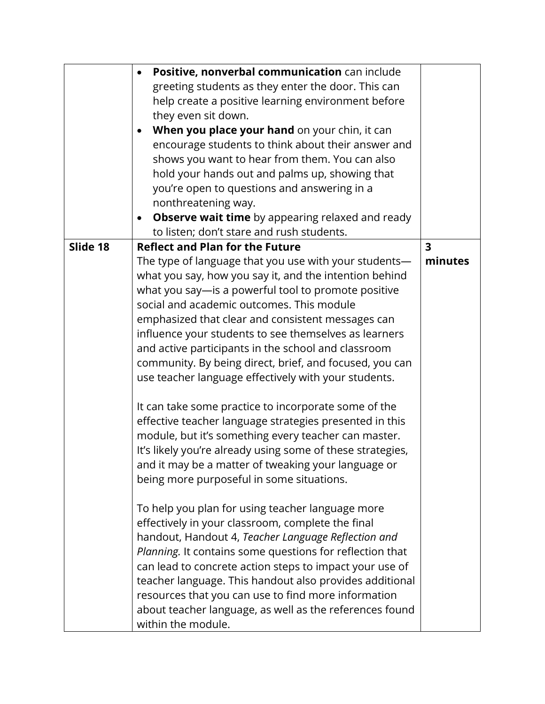|          | Positive, nonverbal communication can include                        |                         |
|----------|----------------------------------------------------------------------|-------------------------|
|          | greeting students as they enter the door. This can                   |                         |
|          | help create a positive learning environment before                   |                         |
|          | they even sit down.                                                  |                         |
|          | When you place your hand on your chin, it can<br>$\bullet$           |                         |
|          | encourage students to think about their answer and                   |                         |
|          | shows you want to hear from them. You can also                       |                         |
|          | hold your hands out and palms up, showing that                       |                         |
|          | you're open to questions and answering in a                          |                         |
|          | nonthreatening way.                                                  |                         |
|          | <b>Observe wait time</b> by appearing relaxed and ready<br>$\bullet$ |                         |
|          | to listen; don't stare and rush students.                            |                         |
| Slide 18 | <b>Reflect and Plan for the Future</b>                               | $\overline{\mathbf{3}}$ |
|          | The type of language that you use with your students-                | minutes                 |
|          | what you say, how you say it, and the intention behind               |                         |
|          | what you say-is a powerful tool to promote positive                  |                         |
|          | social and academic outcomes. This module                            |                         |
|          | emphasized that clear and consistent messages can                    |                         |
|          | influence your students to see themselves as learners                |                         |
|          | and active participants in the school and classroom                  |                         |
|          | community. By being direct, brief, and focused, you can              |                         |
|          | use teacher language effectively with your students.                 |                         |
|          |                                                                      |                         |
|          | It can take some practice to incorporate some of the                 |                         |
|          | effective teacher language strategies presented in this              |                         |
|          | module, but it's something every teacher can master.                 |                         |
|          | It's likely you're already using some of these strategies,           |                         |
|          | and it may be a matter of tweaking your language or                  |                         |
|          | being more purposeful in some situations.                            |                         |
|          |                                                                      |                         |
|          | To help you plan for using teacher language more                     |                         |
|          | effectively in your classroom, complete the final                    |                         |
|          | handout, Handout 4, Teacher Language Reflection and                  |                         |
|          | Planning. It contains some questions for reflection that             |                         |
|          | can lead to concrete action steps to impact your use of              |                         |
|          | teacher language. This handout also provides additional              |                         |
|          | resources that you can use to find more information                  |                         |
|          | about teacher language, as well as the references found              |                         |
|          | within the module.                                                   |                         |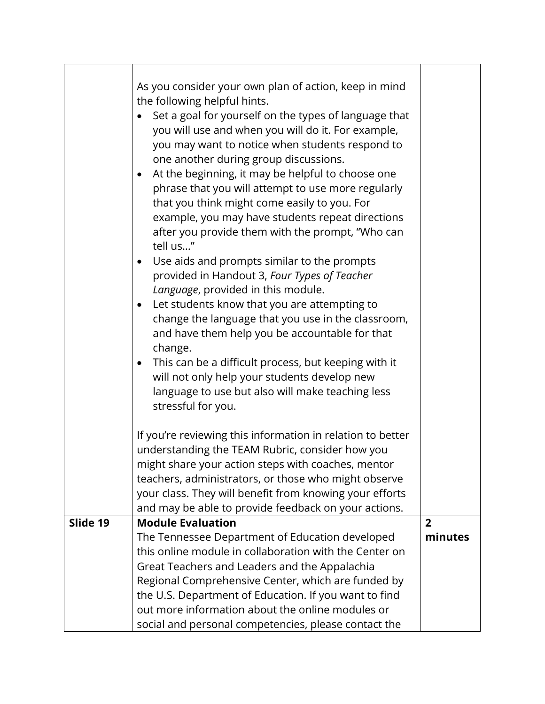|          | As you consider your own plan of action, keep in mind<br>the following helpful hints.<br>Set a goal for yourself on the types of language that<br>you will use and when you will do it. For example,<br>you may want to notice when students respond to<br>one another during group discussions.<br>At the beginning, it may be helpful to choose one<br>$\bullet$<br>phrase that you will attempt to use more regularly<br>that you think might come easily to you. For<br>example, you may have students repeat directions<br>after you provide them with the prompt, "Who can<br>tell us"<br>Use aids and prompts similar to the prompts<br>$\bullet$<br>provided in Handout 3, Four Types of Teacher<br>Language, provided in this module.<br>Let students know that you are attempting to<br>change the language that you use in the classroom,<br>and have them help you be accountable for that<br>change.<br>This can be a difficult process, but keeping with it<br>$\bullet$<br>will not only help your students develop new<br>language to use but also will make teaching less<br>stressful for you. |                |
|----------|------------------------------------------------------------------------------------------------------------------------------------------------------------------------------------------------------------------------------------------------------------------------------------------------------------------------------------------------------------------------------------------------------------------------------------------------------------------------------------------------------------------------------------------------------------------------------------------------------------------------------------------------------------------------------------------------------------------------------------------------------------------------------------------------------------------------------------------------------------------------------------------------------------------------------------------------------------------------------------------------------------------------------------------------------------------------------------------------------------------|----------------|
|          | If you're reviewing this information in relation to better<br>understanding the TEAM Rubric, consider how you<br>might share your action steps with coaches, mentor<br>teachers, administrators, or those who might observe<br>your class. They will benefit from knowing your efforts<br>and may be able to provide feedback on your actions.                                                                                                                                                                                                                                                                                                                                                                                                                                                                                                                                                                                                                                                                                                                                                                   |                |
| Slide 19 | <b>Module Evaluation</b>                                                                                                                                                                                                                                                                                                                                                                                                                                                                                                                                                                                                                                                                                                                                                                                                                                                                                                                                                                                                                                                                                         | $\overline{2}$ |
|          | The Tennessee Department of Education developed                                                                                                                                                                                                                                                                                                                                                                                                                                                                                                                                                                                                                                                                                                                                                                                                                                                                                                                                                                                                                                                                  | minutes        |
|          | this online module in collaboration with the Center on                                                                                                                                                                                                                                                                                                                                                                                                                                                                                                                                                                                                                                                                                                                                                                                                                                                                                                                                                                                                                                                           |                |
|          | Great Teachers and Leaders and the Appalachia                                                                                                                                                                                                                                                                                                                                                                                                                                                                                                                                                                                                                                                                                                                                                                                                                                                                                                                                                                                                                                                                    |                |
|          | Regional Comprehensive Center, which are funded by                                                                                                                                                                                                                                                                                                                                                                                                                                                                                                                                                                                                                                                                                                                                                                                                                                                                                                                                                                                                                                                               |                |
|          | the U.S. Department of Education. If you want to find                                                                                                                                                                                                                                                                                                                                                                                                                                                                                                                                                                                                                                                                                                                                                                                                                                                                                                                                                                                                                                                            |                |
|          | out more information about the online modules or                                                                                                                                                                                                                                                                                                                                                                                                                                                                                                                                                                                                                                                                                                                                                                                                                                                                                                                                                                                                                                                                 |                |
|          | social and personal competencies, please contact the                                                                                                                                                                                                                                                                                                                                                                                                                                                                                                                                                                                                                                                                                                                                                                                                                                                                                                                                                                                                                                                             |                |